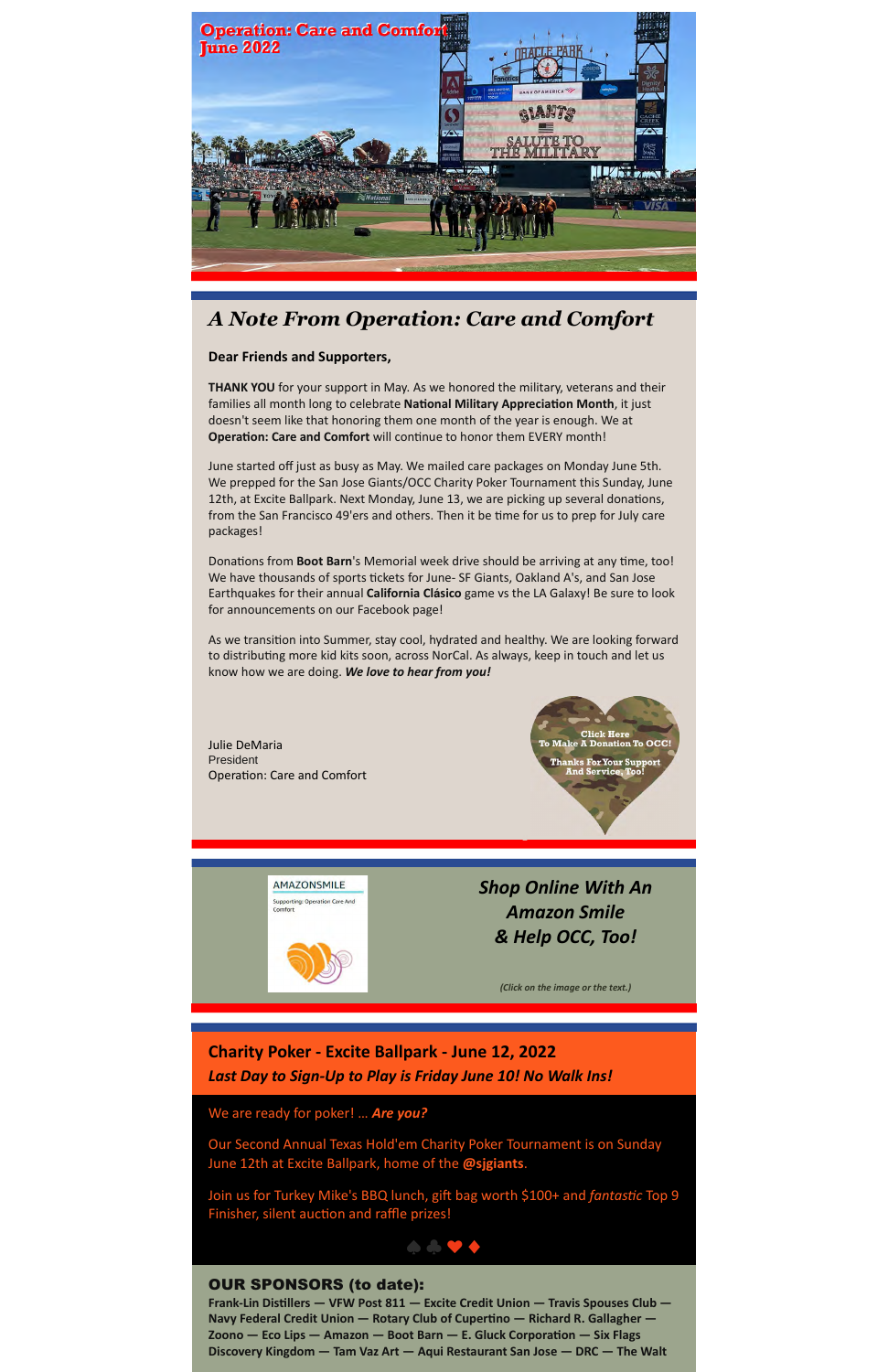

# *A Note From Operation: Care and Comfort*

#### **Dear Friends and Supporters,**

**THANK YOU** for your support in May. As we honored the military, veterans and their families all month long to celebrate National Military Appreciation Month, it just doesn't seem like that honoring them one month of the year is enough. We at **Operation: Care and Comfort** will continue to honor them EVERY month!

June started off just as busy as May. We mailed care packages on Monday June 5th. We prepped for the San Jose Giants/OCC Charity Poker Tournament this Sunday, June 12th, at Excite Ballpark. Next Monday, June 13, we are picking up several donations, from the San Francisco 49'ers and others. Then it be time for us to prep for July care packages!

Donations from Boot Barn's Memorial week drive should be arriving at any time, too! We have thousands of sports tickets for June- SF Giants, Oakland A's, and San Jose Earthquakes for their annual **California Clásico** game vs the LA Galaxy! Be sure to look for announcements on our Facebook page!

As we transition into Summer, stay cool, hydrated and healthy. We are looking forward to distributing more kid kits soon, across NorCal. As always, keep in touch and let us know how we are doing. *We love to hear from you!*

Julie DeMaria President Operation: Care and Comfort



**AMAZONSMILE** Supporting: Operation Care And *[Shop Online With An](https://www.amazon.com/gp/f.html?C=1ZO45S6EMQQ0C&K=329MWGPYOY3MX&M=urn:rtn:msg:20180807105150f141b731170f4b58bf3f0275ddc0p0na&R=3G313TS9PCTHJ&T=C&U=https%3A%2F%2Fsmile.amazon.com%2Fch%2F27-3116300%3Fref_%3Dpe_2172510_295199620&H=TPLDS0RNWBSDILAFKFRDMMBTUK0A&r) Amazon Smile & Help OCC, Too!*

*(Click on the image or the text.)*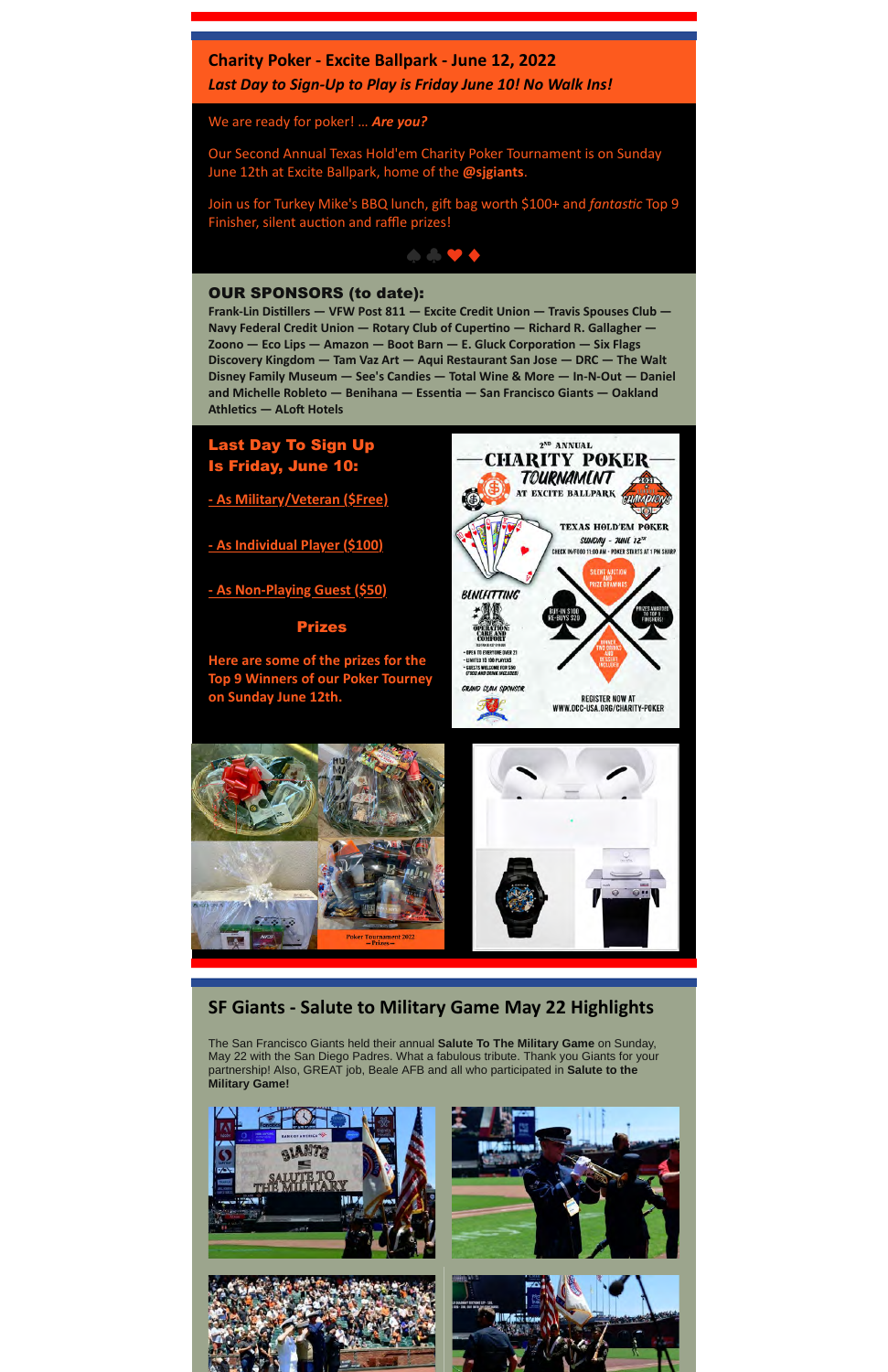#### **Charity Poker - Excite Ballpark - June 12, 2022**

*Last Day to Sign-Up to Play is Friday June 10! No Walk Ins!*

We are ready for poker! … *Are you?*

Our Second Annual Texas Hold'em Charity Poker Tournament is on Sunday June 12th at Excite Ballpark, home of the **@sjgiants**.

Join us for Turkey Mike's BBQ lunch, gift bag worth \$100+ and *fantastic* Top 9 Finisher, silent auction and raffle prizes!



#### OUR SPONSORS (to date):

**Frank-Lin Dis"llers — VFW Post 811 — Excite Credit Union — Travis Spouses Club —** Navy Federal Credit Union — Rotary Club of Cupertino — Richard R. Gallagher -**Zoono — Eco Lips — Amazon — Boot Barn — E. Gluck Corporation — Six Flags Discovery Kingdom — Tam Vaz Art — Aqui Restaurant San Jose — DRC — The Walt Disney Family Museum — See's Candies — Total Wine & More — In-N-Out — Daniel** and Michelle Robleto — Benihana — Essentia — San Francisco Giants — Oakland **Athletics — ALoft Hotels** 



**[- As Military/Veteran \(\\$Free\)](https://www.occ-usa.org/charity-poker/military-signup/)**

**[- As Individual Player \(\\$100\)](http://events.constantcontact.com/register/event?llr=hxbzxe9ab&oeidk=a07ej230vip14d6eb6d)**

**[- As Non-Playing Guest \(\\$50\)](http://events.constantcontact.com/register/event?llr=hxbzxe9ab&oeidk=a07ej2pfxu5657a6b53)**

#### Prizes

**Here are some of the prizes for the Top 9 Winners of our Poker Tourney on Sunday June 12th.**



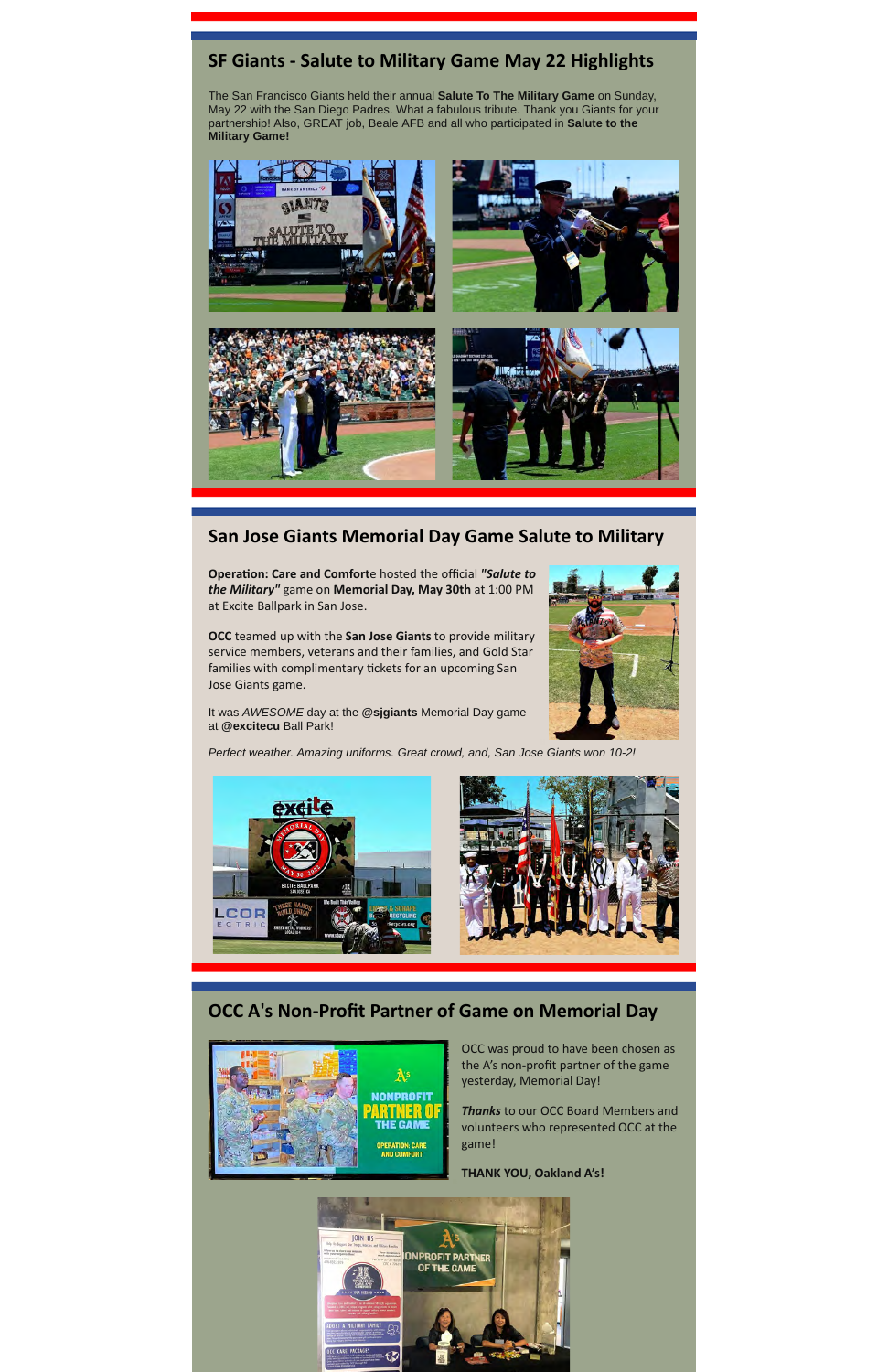## **SF Giants - Salute to Military Game May 22 Highlights**

The San Francisco Giants held their annual **Salute To The Military Game** on Sunday, May 22 with the San Diego Padres. What a fabulous tribute. Thank you Giants for your partnership! Also, GREAT job, Beale AFB and all who participated in **Salute to the Military Game!**



### **San Jose Giants Memorial Day Game Salute to Military**

**Operation: Care and Comforte hosted the official "Salute to** *the Military"* game on **Memorial Day, May 30th** at 1:00 PM at Excite Ballpark in San Jose.

**OCC** teamed up with the **San Jose Giants** to provide military service members, veterans and their families, and Gold Star families with complimentary tickets for an upcoming San Jose Giants game.

It was AWESOME day at the **@sjgiants** Memorial Day game at **@excitecu** Ball Park!



Perfect weather. Amazing uniforms. Great crowd, and, San Jose Giants won 10-2!



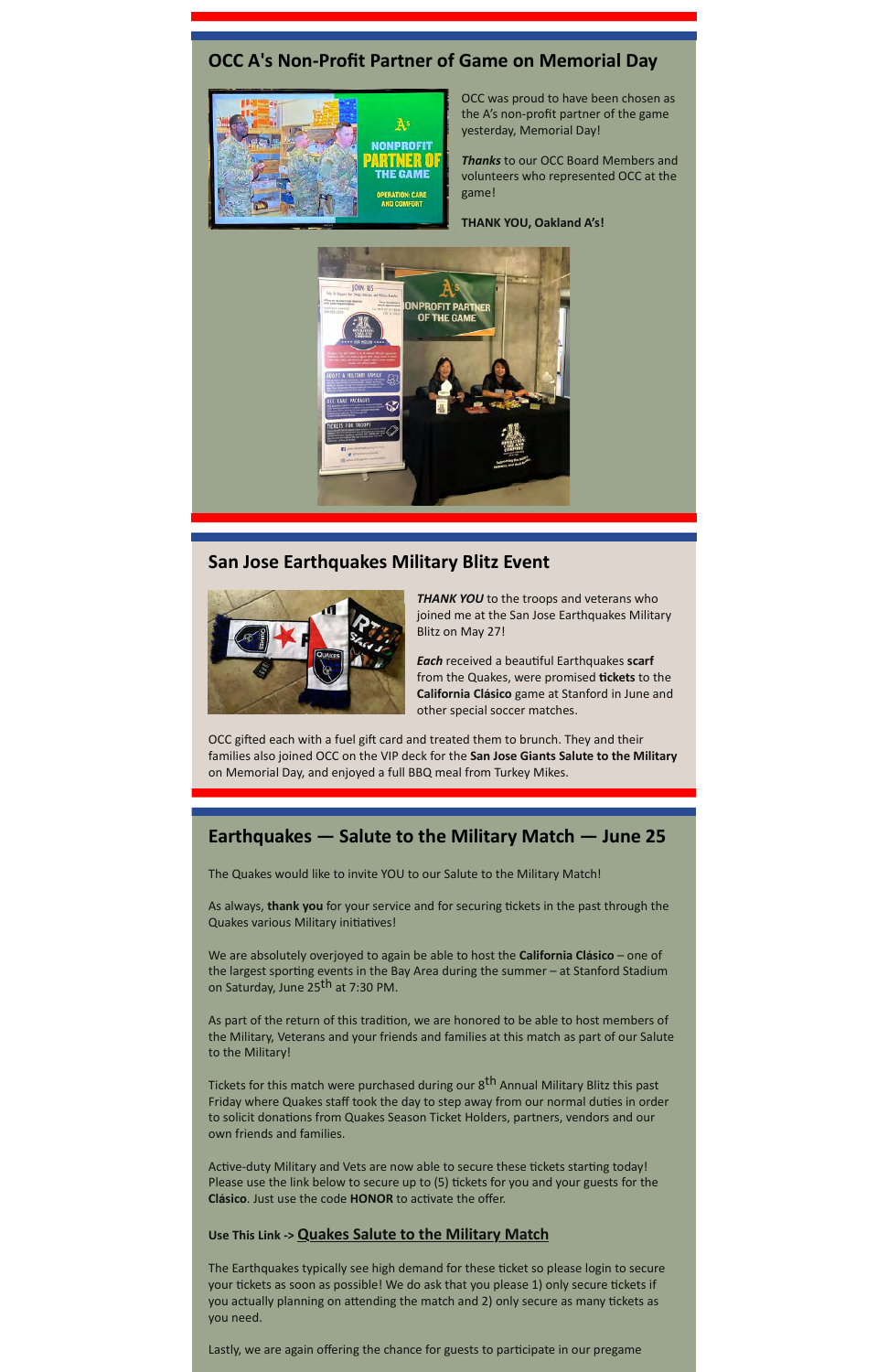### **OCC A's Non-Profit Partner of Game on Memorial Day**



OCC was proud to have been chosen as the A's non-profit partner of the game yesterday, Memorial Day!

*Thanks* to our OCC Board Members and volunteers who represented OCC at the game!

**THANK YOU, Oakland A's!**



### **San Jose Earthquakes Military Blitz Event**



**THANK YOU** to the troops and veterans who joined me at the San Jose Earthquakes Military Blitz on May 27!

**Each** received a beautiful Earthquakes scarf from the Quakes, were promised **tickets** to the **California Clásico** game at Stanford in June and other special soccer matches.

OCC gifted each with a fuel gift card and treated them to brunch. They and their families also joined OCC on the VIP deck for the **San Jose Giants Salute to the Military** on Memorial Day, and enjoyed a full BBQ meal from Turkey Mikes.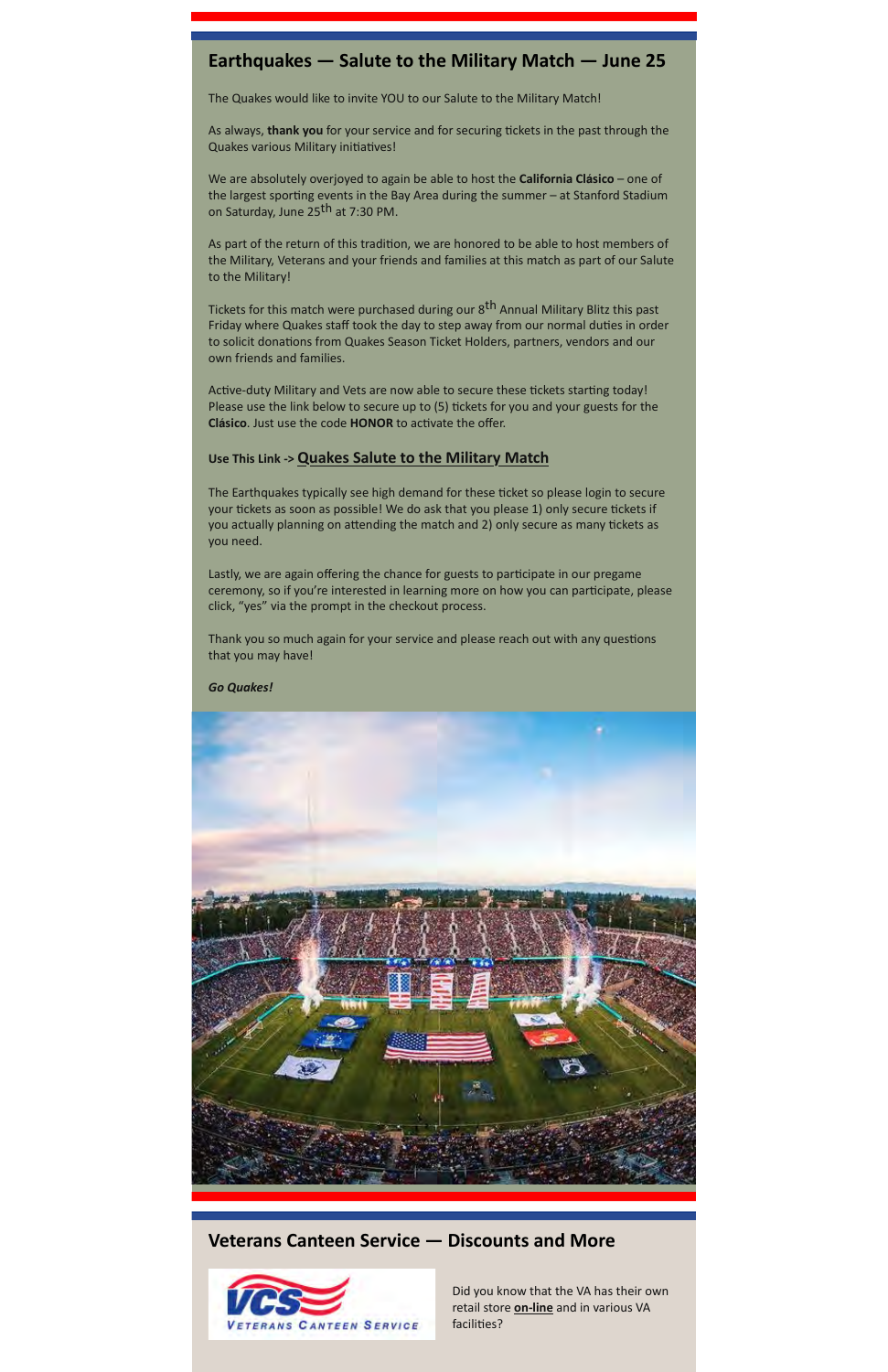### **Earthquakes — Salute to the Military Match — June 25**

The Quakes would like to invite YOU to our Salute to the Military Match!

As always, **thank you** for your service and for securing tickets in the past through the Quakes various Military initiatives!

We are absolutely overjoyed to again be able to host the **California Clásico** – one of the largest sporting events in the Bay Area during the summer  $-$  at Stanford Stadium on Saturday, June 25<sup>th</sup> at 7:30 PM.

As part of the return of this tradition, we are honored to be able to host members of the Military, Veterans and your friends and families at this match as part of our Salute to the Military!

Tickets for this match were purchased during our 8<sup>th</sup> Annual Military Blitz this past Friday where Quakes staff took the day to step away from our normal duties in order to solicit donations from Quakes Season Ticket Holders, partners, vendors and our own friends and families.

Active-duty Military and Vets are now able to secure these tickets starting today! Please use the link below to secure up to (5) tickets for you and your guests for the **Clásico**. Just use the code **HONOR** to activate the offer.

#### **Use This Link -> [Quakes Salute to the Military Match](https://offer.fevo.com/earthquakes-vs-la-galaxy-eusxv9w-5cb2f0e?fevoUri=earthquakes-vs-la-galaxy-eusxv9w-5cb2f0e%2F)**

The Earthquakes typically see high demand for these ticket so please login to secure your tickets as soon as possible! We do ask that you please 1) only secure tickets if you actually planning on attending the match and 2) only secure as many tickets as you need.

Lastly, we are again offering the chance for guests to participate in our pregame ceremony, so if you're interested in learning more on how you can parcipate, please click, "yes" via the prompt in the checkout process.

Thank you so much again for your service and please reach out with any questions that you may have!

*Go Quakes!*